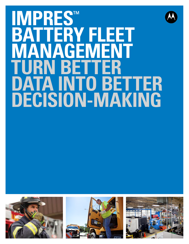# **IMPRES**<br>BATTER **BATTERY FLEET GEMENT**<br>BETTER **TURN BET**<br>DATA INT **O** BETTER **DECISION-MAKING**







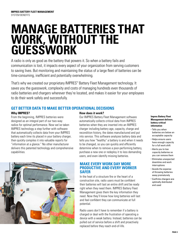# **MANAGE BATTERIES THAT WORK, WITHOUT THE GUESSWORK**

A radio is only as good as the battery that powers it. So when a battery fails and communication is lost, it impacts every aspect of your organization from serving customers to saving lives. But monitoring and maintaining the status of a large fleet of batteries can be time-consuming, inefficient and potentially overwhelming.

That's why we created our proprietary IMPRES™ Battery Fleet Management technology. It saves you the guesswork, complexity and costs of managing hundreds even thousands of radio batteries and chargers wherever they're located, and makes it easier for your employees to do their work safely and successfully.

# **GET BETTER DATA TO MAKE BETTER OPERATIONAL DECISIONS**

#### **Why IMPRES?**

From the beginning, IMPRES batteries were designed as an integral part of our two-way radios for optimal performance. Now we've taken IMPRES technology a step further with software that automatically collects data from your IMPRES battery each time its placed in your battery charger, then quickly compiles it into valuable reports for "information at a glance." No other manufacturer delivers this patented technology and comprehensive capabilities.



#### **How does it work?**

Our IMPRES Battery Fleet Management software automatically collects critical data from IMPRES batteries when they are inserted into an IMPRES charger including battery age, capacity, charge and recondition history, the dates manufactured and put into service. This software analyzes battery data and tells you how "healthy" a battery is and when it needs to be changed, so you can quickly and efficiently determine when to remove a poor-performing battery, purchase a new one or redeploy it to less demanding users, and even identify missing batteries.

### **MAKE EVERY WORK DAY MORE PRODUCTIVE AND EVERY WORKER SAFER**

In the heat of a structure fire or the heart of a construction site, radio users must be confident their batteries will last an entire shift and be ready right when they need them. IMPRES Battery Fleet Management gives them the key information they need. Now they'll know how long batteries will last and feel confident they can communicate at full potential.

Radio users don't have to remember if a battery is charged or deal with the frustration of operating a device with a weak battery. Instead, batteries can be pulled out of service before a shift and proactively replaced before they reach end-of-life.

#### **Impres Battery Fleet Management delivers battery-critical information**

- Tells you when batteries are below an acceptable capacity
- Helps ensure users have enough capacity for a full work shift
- Alerts you to low capacity batteries so you can remove them
- Eliminates unexpected downtime and work interruptions
- Avoids the expense of throwing batteries away prematurely
- **Confirms chargers are** optimally distributed and used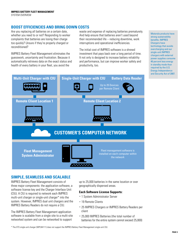# **BOOST EFFICIENCIES AND BRING DOWN COSTS**

Are you replacing all batteries on a certain date, whether you need to or not? Responding to worker complaints that batteries are losing their charge too quickly? Unsure if they're properly charged or reconditioned?

IMPRES Battery Fleet Management eliminates the guesswork, uncertainty and frustration. Because it automatically retrieves data on the exact status and health of every battery in your fleet, you avoid the

waste and expense of replacing batteries prematurely. And help ensure that batteries aren't used beyond their recommended life – reducing downtime, work interruptions and operational inefficiencies.

Motorola products have strong sustainability benefits. IMPRES Chargers have technology that avoids overcharging and our single-unit IMPRES chargers with external power supplies consume 40 percent less energy in standby mode than

The initial cost of IMPRES software is a shrewd investment that pays back over a long period of time. It not only is designed to increase battery reliability and performance, but can improve worker safety and productivity, too.



# **SIMPLE, SEAMLESS AND SCALABLE**

IMPRES Battery Fleet Management consists of three major components: the application software, a software license key and the Charger Interface Unit (CIU). A CIU is required to network each IMPRES multi-unit charger or single-unit charger\* into the system. However, IMPRES dual unit chargers and the IMPRES Battery Readers do not require a CIU.

The IMPRES Battery Fleet Management application software is scalable from a single site to a multi-site networked system and can be networked to support

up to 25,000 batteries in the same location or over geographically dispersed areas.

#### **Each Software License Supports:**

- 1 System Administrator Server
- 19 Remote Clients
- 25 IMPRES Chargers or IMPRES Battery Readers per client
- 25,000 IMPRES Batteries (the total number of batteries for the entire system cannot exceed 25,000)

\* The XTS single-unit charger (WPLN4111) does not support the IMPRES Battery Fleet Management single-unit CIU.